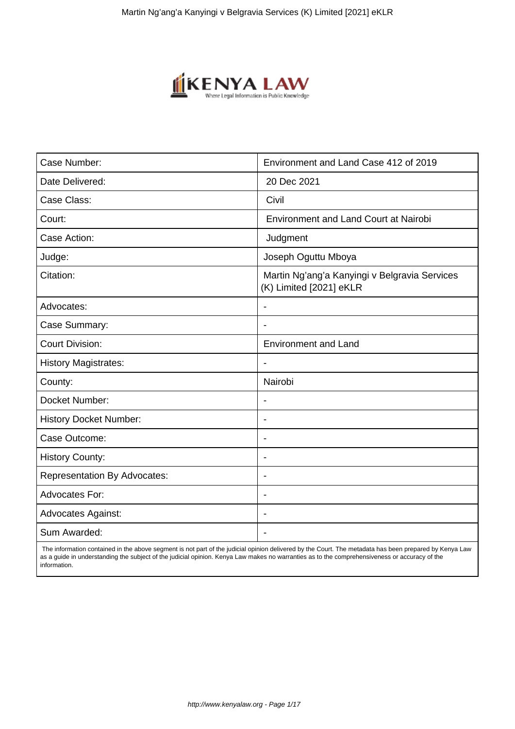

| Case Number:                        | Environment and Land Case 412 of 2019                                    |
|-------------------------------------|--------------------------------------------------------------------------|
| Date Delivered:                     | 20 Dec 2021                                                              |
| Case Class:                         | Civil                                                                    |
| Court:                              | <b>Environment and Land Court at Nairobi</b>                             |
| Case Action:                        | Judgment                                                                 |
| Judge:                              | Joseph Oguttu Mboya                                                      |
| Citation:                           | Martin Ng'ang'a Kanyingi v Belgravia Services<br>(K) Limited [2021] eKLR |
| Advocates:                          |                                                                          |
| Case Summary:                       |                                                                          |
| <b>Court Division:</b>              | <b>Environment and Land</b>                                              |
| <b>History Magistrates:</b>         | $\blacksquare$                                                           |
| County:                             | Nairobi                                                                  |
| Docket Number:                      |                                                                          |
| <b>History Docket Number:</b>       | $\overline{\phantom{a}}$                                                 |
| Case Outcome:                       | $\overline{\phantom{0}}$                                                 |
| <b>History County:</b>              | $\overline{\phantom{a}}$                                                 |
| <b>Representation By Advocates:</b> | $\overline{\phantom{0}}$                                                 |
| Advocates For:                      | ۰                                                                        |
| <b>Advocates Against:</b>           |                                                                          |
| Sum Awarded:                        |                                                                          |

 The information contained in the above segment is not part of the judicial opinion delivered by the Court. The metadata has been prepared by Kenya Law as a guide in understanding the subject of the judicial opinion. Kenya Law makes no warranties as to the comprehensiveness or accuracy of the information.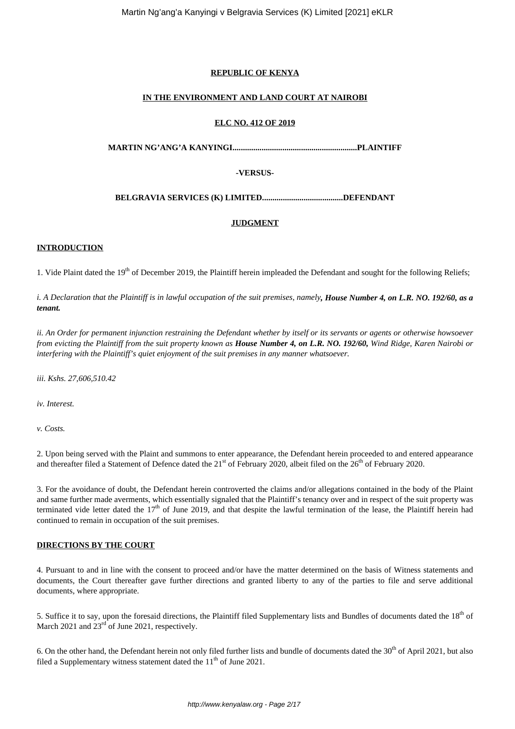## **REPUBLIC OF KENYA**

## **IN THE ENVIRONMENT AND LAND COURT AT NAIROBI**

#### **ELC NO. 412 OF 2019**

**MARTIN NG'ANG'A KANYINGI............................................................PLAINTIFF**

## **-VERSUS-**

**BELGRAVIA SERVICES (K) LIMITED.......................................DEFENDANT**

## **JUDGMENT**

## **INTRODUCTION**

1. Vide Plaint dated the  $19<sup>th</sup>$  of December 2019, the Plaintiff herein impleaded the Defendant and sought for the following Reliefs;

*i. A Declaration that the Plaintiff is in lawful occupation of the suit premises, namely, House Number 4, on L.R. NO. 192/60, as a tenant.*

*ii. An Order for permanent injunction restraining the Defendant whether by itself or its servants or agents or otherwise howsoever from evicting the Plaintiff from the suit property known as House Number 4, on L.R. NO. 192/60, Wind Ridge, Karen Nairobi or interfering with the Plaintiff's quiet enjoyment of the suit premises in any manner whatsoever.*

*iii. Kshs. 27,606,510.42*

*iv. Interest.*

*v. Costs.*

2. Upon being served with the Plaint and summons to enter appearance, the Defendant herein proceeded to and entered appearance and thereafter filed a Statement of Defence dated the  $21<sup>st</sup>$  of February 2020, albeit filed on the  $26<sup>th</sup>$  of February 2020.

3. For the avoidance of doubt, the Defendant herein controverted the claims and/or allegations contained in the body of the Plaint and same further made averments, which essentially signaled that the Plaintiff's tenancy over and in respect of the suit property was terminated vide letter dated the  $17<sup>th</sup>$  of June 2019, and that despite the lawful termination of the lease, the Plaintiff herein had continued to remain in occupation of the suit premises.

## **DIRECTIONS BY THE COURT**

4. Pursuant to and in line with the consent to proceed and/or have the matter determined on the basis of Witness statements and documents, the Court thereafter gave further directions and granted liberty to any of the parties to file and serve additional documents, where appropriate.

5. Suffice it to say, upon the foresaid directions, the Plaintiff filed Supplementary lists and Bundles of documents dated the 18<sup>th</sup> of March 2021 and  $23<sup>rd</sup>$  of June 2021, respectively.

6. On the other hand, the Defendant herein not only filed further lists and bundle of documents dated the  $30<sup>th</sup>$  of April 2021, but also filed a Supplementary witness statement dated the  $11<sup>th</sup>$  of June 2021.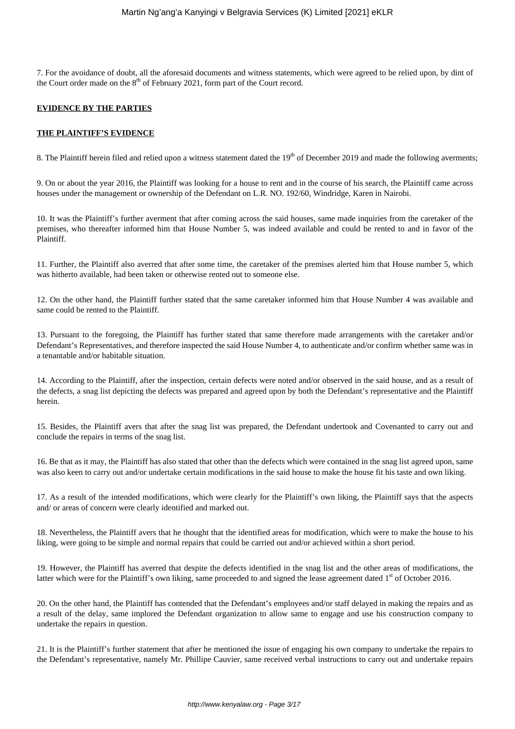7. For the avoidance of doubt, all the aforesaid documents and witness statements, which were agreed to be relied upon, by dint of the Court order made on the  $8<sup>th</sup>$  of February 2021, form part of the Court record.

## **EVIDENCE BY THE PARTIES**

## **THE PLAINTIFF'S EVIDENCE**

8. The Plaintiff herein filed and relied upon a witness statement dated the  $19<sup>th</sup>$  of December 2019 and made the following averments;

9. On or about the year 2016, the Plaintiff was looking for a house to rent and in the course of his search, the Plaintiff came across houses under the management or ownership of the Defendant on L.R. NO. 192/60, Windridge, Karen in Nairobi.

10. It was the Plaintiff's further averment that after coming across the said houses, same made inquiries from the caretaker of the premises, who thereafter informed him that House Number 5, was indeed available and could be rented to and in favor of the Plaintiff.

11. Further, the Plaintiff also averred that after some time, the caretaker of the premises alerted him that House number 5, which was hitherto available, had been taken or otherwise rented out to someone else.

12. On the other hand, the Plaintiff further stated that the same caretaker informed him that House Number 4 was available and same could be rented to the Plaintiff.

13. Pursuant to the foregoing, the Plaintiff has further stated that same therefore made arrangements with the caretaker and/or Defendant's Representatives, and therefore inspected the said House Number 4, to authenticate and/or confirm whether same was in a tenantable and/or habitable situation.

14. According to the Plaintiff, after the inspection, certain defects were noted and/or observed in the said house, and as a result of the defects, a snag list depicting the defects was prepared and agreed upon by both the Defendant's representative and the Plaintiff herein.

15. Besides, the Plaintiff avers that after the snag list was prepared, the Defendant undertook and Covenanted to carry out and conclude the repairs in terms of the snag list.

16. Be that as it may, the Plaintiff has also stated that other than the defects which were contained in the snag list agreed upon, same was also keen to carry out and/or undertake certain modifications in the said house to make the house fit his taste and own liking.

17. As a result of the intended modifications, which were clearly for the Plaintiff's own liking, the Plaintiff says that the aspects and/ or areas of concern were clearly identified and marked out.

18. Nevertheless, the Plaintiff avers that he thought that the identified areas for modification, which were to make the house to his liking, were going to be simple and normal repairs that could be carried out and/or achieved within a short period.

19. However, the Plaintiff has averred that despite the defects identified in the snag list and the other areas of modifications, the latter which were for the Plaintiff's own liking, same proceeded to and signed the lease agreement dated  $1<sup>st</sup>$  of October 2016.

20. On the other hand, the Plaintiff has contended that the Defendant's employees and/or staff delayed in making the repairs and as a result of the delay, same implored the Defendant organization to allow same to engage and use his construction company to undertake the repairs in question.

21. It is the Plaintiff's further statement that after he mentioned the issue of engaging his own company to undertake the repairs to the Defendant's representative, namely Mr. Phillipe Cauvier, same received verbal instructions to carry out and undertake repairs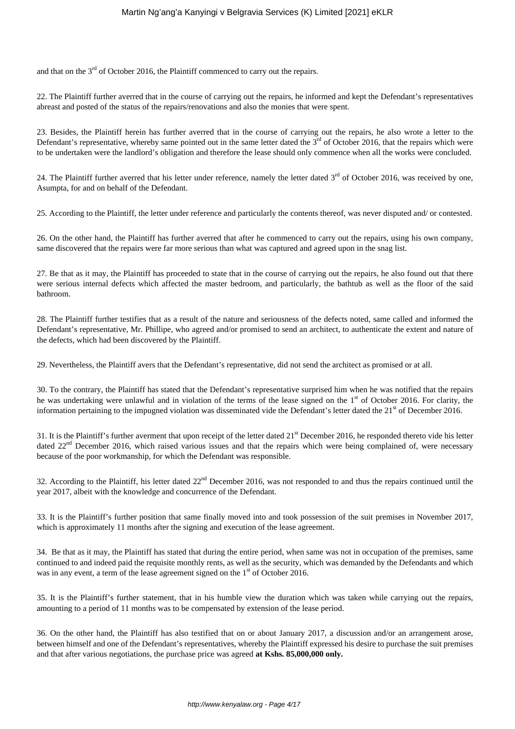and that on the  $3<sup>rd</sup>$  of October 2016, the Plaintiff commenced to carry out the repairs.

22. The Plaintiff further averred that in the course of carrying out the repairs, he informed and kept the Defendant's representatives abreast and posted of the status of the repairs/renovations and also the monies that were spent.

23. Besides, the Plaintiff herein has further averred that in the course of carrying out the repairs, he also wrote a letter to the Defendant's representative, whereby same pointed out in the same letter dated the  $3<sup>rd</sup>$  of October 2016, that the repairs which were to be undertaken were the landlord's obligation and therefore the lease should only commence when all the works were concluded.

24. The Plaintiff further averred that his letter under reference, namely the letter dated  $3<sup>rd</sup>$  of October 2016, was received by one, Asumpta, for and on behalf of the Defendant.

25. According to the Plaintiff, the letter under reference and particularly the contents thereof, was never disputed and/ or contested.

26. On the other hand, the Plaintiff has further averred that after he commenced to carry out the repairs, using his own company, same discovered that the repairs were far more serious than what was captured and agreed upon in the snag list.

27. Be that as it may, the Plaintiff has proceeded to state that in the course of carrying out the repairs, he also found out that there were serious internal defects which affected the master bedroom, and particularly, the bathtub as well as the floor of the said bathroom.

28. The Plaintiff further testifies that as a result of the nature and seriousness of the defects noted, same called and informed the Defendant's representative, Mr. Phillipe, who agreed and/or promised to send an architect, to authenticate the extent and nature of the defects, which had been discovered by the Plaintiff.

29. Nevertheless, the Plaintiff avers that the Defendant's representative, did not send the architect as promised or at all.

30. To the contrary, the Plaintiff has stated that the Defendant's representative surprised him when he was notified that the repairs he was undertaking were unlawful and in violation of the terms of the lease signed on the  $1<sup>st</sup>$  of October 2016. For clarity, the information pertaining to the impugned violation was disseminated vide the Defendant's letter dated the  $21<sup>st</sup>$  of December 2016.

31. It is the Plaintiff's further averment that upon receipt of the letter dated 21<sup>st</sup> December 2016, he responded thereto vide his letter dated 22<sup>nd</sup> December 2016, which raised various issues and that the repairs which were being complained of, were necessary because of the poor workmanship, for which the Defendant was responsible.

32. According to the Plaintiff, his letter dated  $22<sup>nd</sup>$  December 2016, was not responded to and thus the repairs continued until the year 2017, albeit with the knowledge and concurrence of the Defendant.

33. It is the Plaintiff's further position that same finally moved into and took possession of the suit premises in November 2017, which is approximately 11 months after the signing and execution of the lease agreement.

34. Be that as it may, the Plaintiff has stated that during the entire period, when same was not in occupation of the premises, same continued to and indeed paid the requisite monthly rents, as well as the security, which was demanded by the Defendants and which was in any event, a term of the lease agreement signed on the  $1<sup>st</sup>$  of October 2016.

35. It is the Plaintiff's further statement, that in his humble view the duration which was taken while carrying out the repairs, amounting to a period of 11 months was to be compensated by extension of the lease period.

36. On the other hand, the Plaintiff has also testified that on or about January 2017, a discussion and/or an arrangement arose, between himself and one of the Defendant's representatives, whereby the Plaintiff expressed his desire to purchase the suit premises and that after various negotiations, the purchase price was agreed **at Kshs. 85,000,000 only.**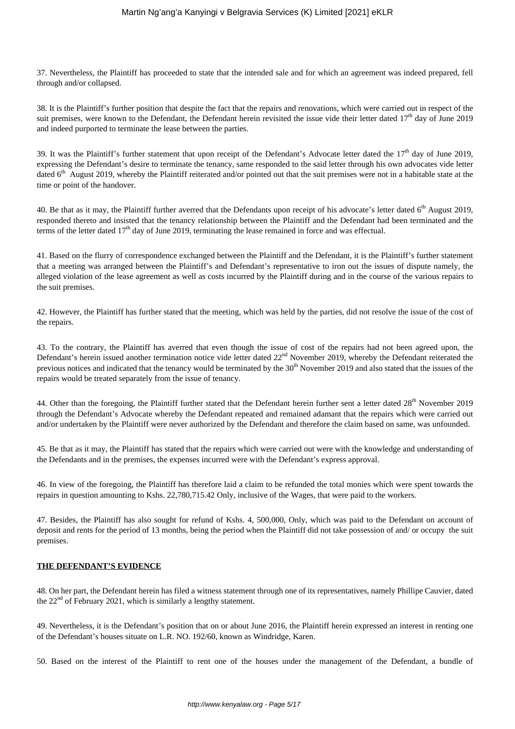37. Nevertheless, the Plaintiff has proceeded to state that the intended sale and for which an agreement was indeed prepared, fell through and/or collapsed.

38. It is the Plaintiff's further position that despite the fact that the repairs and renovations, which were carried out in respect of the suit premises, were known to the Defendant, the Defendant herein revisited the issue vide their letter dated  $17<sup>th</sup>$  day of June 2019 and indeed purported to terminate the lease between the parties.

39. It was the Plaintiff's further statement that upon receipt of the Defendant's Advocate letter dated the  $17<sup>th</sup>$  day of June 2019, expressing the Defendant's desire to terminate the tenancy, same responded to the said letter through his own advocates vide letter dated  $6<sup>th</sup>$  August 2019, whereby the Plaintiff reiterated and/or pointed out that the suit premises were not in a habitable state at the time or point of the handover.

40. Be that as it may, the Plaintiff further averred that the Defendants upon receipt of his advocate's letter dated  $6<sup>th</sup>$  August 2019, responded thereto and insisted that the tenancy relationship between the Plaintiff and the Defendant had been terminated and the terms of the letter dated  $17<sup>th</sup>$  day of June 2019, terminating the lease remained in force and was effectual.

41. Based on the flurry of correspondence exchanged between the Plaintiff and the Defendant, it is the Plaintiff's further statement that a meeting was arranged between the Plaintiff's and Defendant's representative to iron out the issues of dispute namely, the alleged violation of the lease agreement as well as costs incurred by the Plaintiff during and in the course of the various repairs to the suit premises.

42. However, the Plaintiff has further stated that the meeting, which was held by the parties, did not resolve the issue of the cost of the repairs.

43. To the contrary, the Plaintiff has averred that even though the issue of cost of the repairs had not been agreed upon, the Defendant's herein issued another termination notice vide letter dated 22<sup>nd</sup> November 2019, whereby the Defendant reiterated the previous notices and indicated that the tenancy would be terminated by the 30<sup>th</sup> November 2019 and also stated that the issues of the repairs would be treated separately from the issue of tenancy.

44. Other than the foregoing, the Plaintiff further stated that the Defendant herein further sent a letter dated 28<sup>th</sup> November 2019 through the Defendant's Advocate whereby the Defendant repeated and remained adamant that the repairs which were carried out and/or undertaken by the Plaintiff were never authorized by the Defendant and therefore the claim based on same, was unfounded.

45. Be that as it may, the Plaintiff has stated that the repairs which were carried out were with the knowledge and understanding of the Defendants and in the premises, the expenses incurred were with the Defendant's express approval.

46. In view of the foregoing, the Plaintiff has therefore laid a claim to be refunded the total monies which were spent towards the repairs in question amounting to Kshs. 22,780,715.42 Only, inclusive of the Wages, that were paid to the workers.

47. Besides, the Plaintiff has also sought for refund of Kshs. 4, 500,000, Only, which was paid to the Defendant on account of deposit and rents for the period of 13 months, being the period when the Plaintiff did not take possession of and/ or occupy the suit premises.

## **THE DEFENDANT'S EVIDENCE**

48. On her part, the Defendant herein has filed a witness statement through one of its representatives, namely Phillipe Cauvier, dated the 22<sup>nd</sup> of February 2021, which is similarly a lengthy statement.

49. Nevertheless, it is the Defendant's position that on or about June 2016, the Plaintiff herein expressed an interest in renting one of the Defendant's houses situate on L.R. NO. 192/60, known as Windridge, Karen.

50. Based on the interest of the Plaintiff to rent one of the houses under the management of the Defendant, a bundle of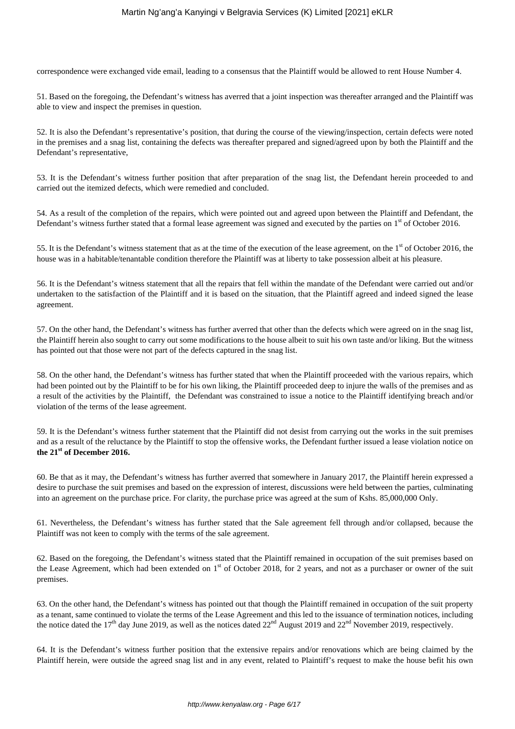correspondence were exchanged vide email, leading to a consensus that the Plaintiff would be allowed to rent House Number 4.

51. Based on the foregoing, the Defendant's witness has averred that a joint inspection was thereafter arranged and the Plaintiff was able to view and inspect the premises in question.

52. It is also the Defendant's representative's position, that during the course of the viewing/inspection, certain defects were noted in the premises and a snag list, containing the defects was thereafter prepared and signed/agreed upon by both the Plaintiff and the Defendant's representative,

53. It is the Defendant's witness further position that after preparation of the snag list, the Defendant herein proceeded to and carried out the itemized defects, which were remedied and concluded.

54. As a result of the completion of the repairs, which were pointed out and agreed upon between the Plaintiff and Defendant, the Defendant's witness further stated that a formal lease agreement was signed and executed by the parties on 1<sup>st</sup> of October 2016.

55. It is the Defendant's witness statement that as at the time of the execution of the lease agreement, on the  $1<sup>st</sup>$  of October 2016, the house was in a habitable/tenantable condition therefore the Plaintiff was at liberty to take possession albeit at his pleasure.

56. It is the Defendant's witness statement that all the repairs that fell within the mandate of the Defendant were carried out and/or undertaken to the satisfaction of the Plaintiff and it is based on the situation, that the Plaintiff agreed and indeed signed the lease agreement.

57. On the other hand, the Defendant's witness has further averred that other than the defects which were agreed on in the snag list, the Plaintiff herein also sought to carry out some modifications to the house albeit to suit his own taste and/or liking. But the witness has pointed out that those were not part of the defects captured in the snag list.

58. On the other hand, the Defendant's witness has further stated that when the Plaintiff proceeded with the various repairs, which had been pointed out by the Plaintiff to be for his own liking, the Plaintiff proceeded deep to injure the walls of the premises and as a result of the activities by the Plaintiff, the Defendant was constrained to issue a notice to the Plaintiff identifying breach and/or violation of the terms of the lease agreement.

59. It is the Defendant's witness further statement that the Plaintiff did not desist from carrying out the works in the suit premises and as a result of the reluctance by the Plaintiff to stop the offensive works, the Defendant further issued a lease violation notice on **the 21st of December 2016.**

60. Be that as it may, the Defendant's witness has further averred that somewhere in January 2017, the Plaintiff herein expressed a desire to purchase the suit premises and based on the expression of interest, discussions were held between the parties, culminating into an agreement on the purchase price. For clarity, the purchase price was agreed at the sum of Kshs. 85,000,000 Only.

61. Nevertheless, the Defendant's witness has further stated that the Sale agreement fell through and/or collapsed, because the Plaintiff was not keen to comply with the terms of the sale agreement.

62. Based on the foregoing, the Defendant's witness stated that the Plaintiff remained in occupation of the suit premises based on the Lease Agreement, which had been extended on  $1<sup>st</sup>$  of October 2018, for 2 years, and not as a purchaser or owner of the suit premises.

63. On the other hand, the Defendant's witness has pointed out that though the Plaintiff remained in occupation of the suit property as a tenant, same continued to violate the terms of the Lease Agreement and this led to the issuance of termination notices, including the notice dated the 17<sup>th</sup> day June 2019, as well as the notices dated  $22^{nd}$  August 2019 and  $22^{nd}$  November 2019, respectively.

64. It is the Defendant's witness further position that the extensive repairs and/or renovations which are being claimed by the Plaintiff herein, were outside the agreed snag list and in any event, related to Plaintiff's request to make the house befit his own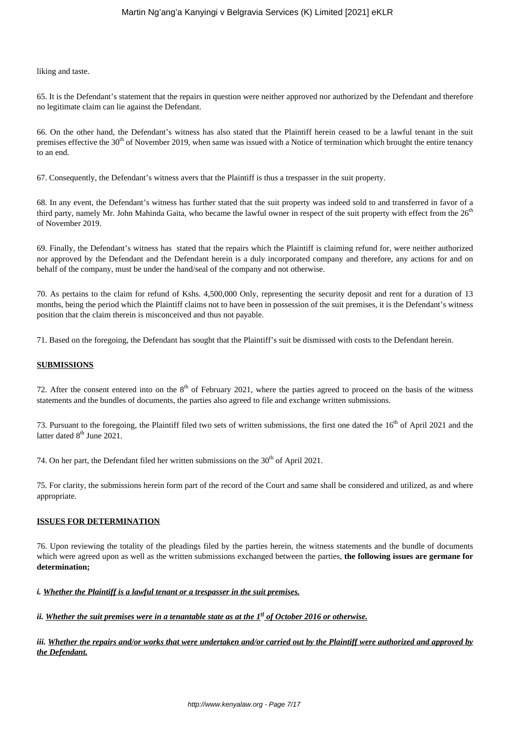liking and taste.

65. It is the Defendant's statement that the repairs in question were neither approved nor authorized by the Defendant and therefore no legitimate claim can lie against the Defendant.

66. On the other hand, the Defendant's witness has also stated that the Plaintiff herein ceased to be a lawful tenant in the suit premises effective the 30<sup>th</sup> of November 2019, when same was issued with a Notice of termination which brought the entire tenancy to an end.

67. Consequently, the Defendant's witness avers that the Plaintiff is thus a trespasser in the suit property.

68. In any event, the Defendant's witness has further stated that the suit property was indeed sold to and transferred in favor of a third party, namely Mr. John Mahinda Gaita, who became the lawful owner in respect of the suit property with effect from the 26<sup>th</sup> of November 2019.

69. Finally, the Defendant's witness has stated that the repairs which the Plaintiff is claiming refund for, were neither authorized nor approved by the Defendant and the Defendant herein is a duly incorporated company and therefore, any actions for and on behalf of the company, must be under the hand/seal of the company and not otherwise.

70. As pertains to the claim for refund of Kshs. 4,500,000 Only, representing the security deposit and rent for a duration of 13 months, being the period which the Plaintiff claims not to have been in possession of the suit premises, it is the Defendant's witness position that the claim therein is misconceived and thus not payable.

71. Based on the foregoing, the Defendant has sought that the Plaintiff's suit be dismissed with costs to the Defendant herein.

## **SUBMISSIONS**

72. After the consent entered into on the  $8<sup>th</sup>$  of February 2021, where the parties agreed to proceed on the basis of the witness statements and the bundles of documents, the parties also agreed to file and exchange written submissions.

73. Pursuant to the foregoing, the Plaintiff filed two sets of written submissions, the first one dated the 16<sup>th</sup> of April 2021 and the latter dated  $8<sup>th</sup>$  June 2021.

74. On her part, the Defendant filed her written submissions on the  $30<sup>th</sup>$  of April 2021.

75. For clarity, the submissions herein form part of the record of the Court and same shall be considered and utilized, as and where appropriate.

## **ISSUES FOR DETERMINATION**

76. Upon reviewing the totality of the pleadings filed by the parties herein, the witness statements and the bundle of documents which were agreed upon as well as the written submissions exchanged between the parties, **the following issues are germane for determination;**

## *i. Whether the Plaintiff is a lawful tenant or a trespasser in the suit premises.*

*ii. Whether the suit premises were in a tenantable state as at the*  $I^{\underline{s}}$  *of October 2016 or otherwise.* 

*iii. Whether the repairs and/or works that were undertaken and/or carried out by the Plaintiff were authorized and approved by the Defendant.*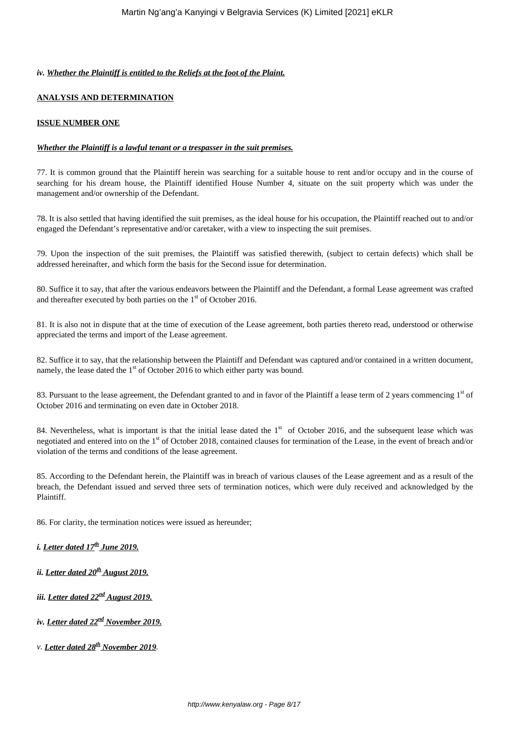## *iv. Whether the Plaintiff is entitled to the Reliefs at the foot of the Plaint.*

## **ANALYSIS AND DETERMINATION**

## **ISSUE NUMBER ONE**

## *Whether the Plaintiff is a lawful tenant or a trespasser in the suit premises.*

77. It is common ground that the Plaintiff herein was searching for a suitable house to rent and/or occupy and in the course of searching for his dream house, the Plaintiff identified House Number 4, situate on the suit property which was under the management and/or ownership of the Defendant.

78. It is also settled that having identified the suit premises, as the ideal house for his occupation, the Plaintiff reached out to and/or engaged the Defendant's representative and/or caretaker, with a view to inspecting the suit premises.

79. Upon the inspection of the suit premises, the Plaintiff was satisfied therewith, (subject to certain defects) which shall be addressed hereinafter, and which form the basis for the Second issue for determination.

80. Suffice it to say, that after the various endeavors between the Plaintiff and the Defendant, a formal Lease agreement was crafted and thereafter executed by both parties on the  $1<sup>st</sup>$  of October 2016.

81. It is also not in dispute that at the time of execution of the Lease agreement, both parties thereto read, understood or otherwise appreciated the terms and import of the Lease agreement.

82. Suffice it to say, that the relationship between the Plaintiff and Defendant was captured and/or contained in a written document, namely, the lease dated the  $1<sup>st</sup>$  of October 2016 to which either party was bound.

83. Pursuant to the lease agreement, the Defendant granted to and in favor of the Plaintiff a lease term of 2 years commencing 1<sup>st</sup> of October 2016 and terminating on even date in October 2018.

84. Nevertheless, what is important is that the initial lease dated the 1<sup>st</sup> of October 2016, and the subsequent lease which was negotiated and entered into on the 1<sup>st</sup> of October 2018, contained clauses for termination of the Lease, in the event of breach and/or violation of the terms and conditions of the lease agreement.

85. According to the Defendant herein, the Plaintiff was in breach of various clauses of the Lease agreement and as a result of the breach, the Defendant issued and served three sets of termination notices, which were duly received and acknowledged by the Plaintiff.

86. For clarity, the termination notices were issued as hereunder;

# *i. Letter dated 17th June 2019.*

- *ii. Letter dated 20th August 2019.*
- *iii. Letter dated 22nd August 2019.*
- *iv. Letter dated 22nd November 2019.*
- *v. Letter dated 28th November 2019.*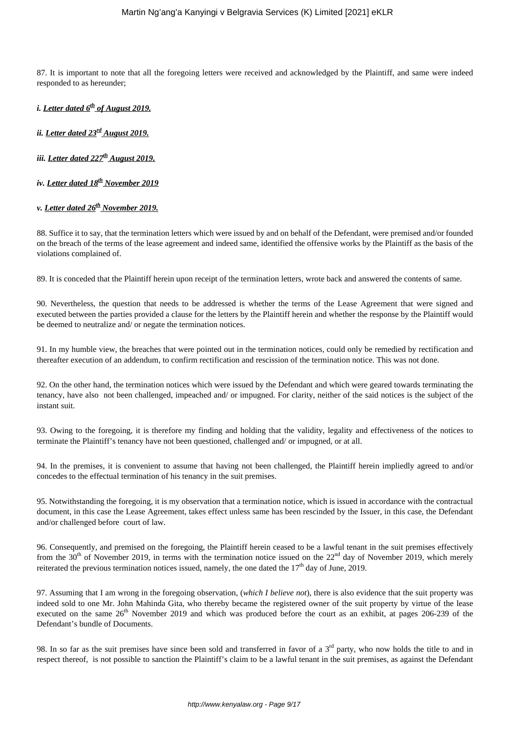87. It is important to note that all the foregoing letters were received and acknowledged by the Plaintiff, and same were indeed responded to as hereunder;

*i. Letter dated 6th of August 2019.*

*ii. Letter dated 23rd August 2019.*

*iii. Letter dated 227th August 2019.*

*iv. Letter dated 18th November 2019*

## *v. Letter dated 26th November 2019.*

88. Suffice it to say, that the termination letters which were issued by and on behalf of the Defendant, were premised and/or founded on the breach of the terms of the lease agreement and indeed same, identified the offensive works by the Plaintiff as the basis of the violations complained of.

89. It is conceded that the Plaintiff herein upon receipt of the termination letters, wrote back and answered the contents of same.

90. Nevertheless, the question that needs to be addressed is whether the terms of the Lease Agreement that were signed and executed between the parties provided a clause for the letters by the Plaintiff herein and whether the response by the Plaintiff would be deemed to neutralize and/ or negate the termination notices.

91. In my humble view, the breaches that were pointed out in the termination notices, could only be remedied by rectification and thereafter execution of an addendum, to confirm rectification and rescission of the termination notice. This was not done.

92. On the other hand, the termination notices which were issued by the Defendant and which were geared towards terminating the tenancy, have also not been challenged, impeached and/ or impugned. For clarity, neither of the said notices is the subject of the instant suit.

93. Owing to the foregoing, it is therefore my finding and holding that the validity, legality and effectiveness of the notices to terminate the Plaintiff's tenancy have not been questioned, challenged and/ or impugned, or at all.

94. In the premises, it is convenient to assume that having not been challenged, the Plaintiff herein impliedly agreed to and/or concedes to the effectual termination of his tenancy in the suit premises.

95. Notwithstanding the foregoing, it is my observation that a termination notice, which is issued in accordance with the contractual document, in this case the Lease Agreement, takes effect unless same has been rescinded by the Issuer, in this case, the Defendant and/or challenged before court of law.

96. Consequently, and premised on the foregoing, the Plaintiff herein ceased to be a lawful tenant in the suit premises effectively from the  $30<sup>th</sup>$  of November 2019, in terms with the termination notice issued on the  $22<sup>nd</sup>$  day of November 2019, which merely reiterated the previous termination notices issued, namely, the one dated the  $17<sup>th</sup>$  day of June, 2019.

97. Assuming that I am wrong in the foregoing observation, (*which I believe not*), there is also evidence that the suit property was indeed sold to one Mr. John Mahinda Gita, who thereby became the registered owner of the suit property by virtue of the lease executed on the same 26<sup>th</sup> November 2019 and which was produced before the court as an exhibit, at pages 206-239 of the Defendant's bundle of Documents.

98. In so far as the suit premises have since been sold and transferred in favor of a  $3<sup>rd</sup>$  party, who now holds the title to and in respect thereof, is not possible to sanction the Plaintiff's claim to be a lawful tenant in the suit premises, as against the Defendant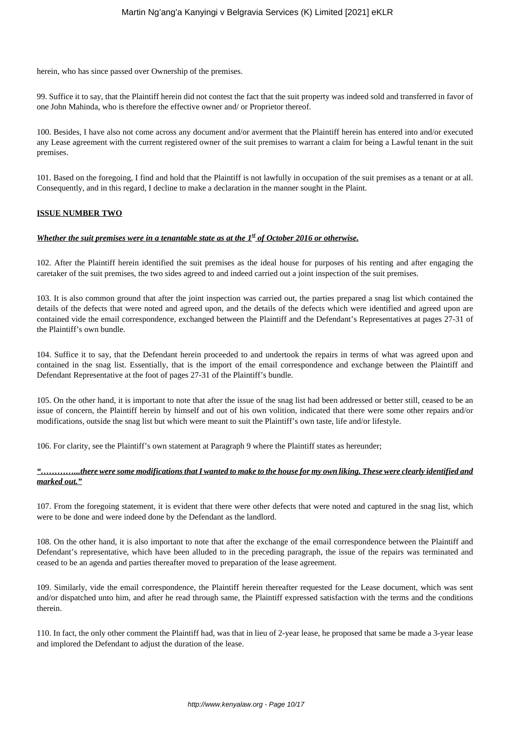herein, who has since passed over Ownership of the premises.

99. Suffice it to say, that the Plaintiff herein did not contest the fact that the suit property was indeed sold and transferred in favor of one John Mahinda, who is therefore the effective owner and/ or Proprietor thereof.

100. Besides, I have also not come across any document and/or averment that the Plaintiff herein has entered into and/or executed any Lease agreement with the current registered owner of the suit premises to warrant a claim for being a Lawful tenant in the suit premises.

101. Based on the foregoing, I find and hold that the Plaintiff is not lawfully in occupation of the suit premises as a tenant or at all. Consequently, and in this regard, I decline to make a declaration in the manner sought in the Plaint.

#### **ISSUE NUMBER TWO**

#### *<u>Whether the suit premises were in a tenantable state as at the 1<sup>st</sup> of October 2016 or otherwise.*</u>

102. After the Plaintiff herein identified the suit premises as the ideal house for purposes of his renting and after engaging the caretaker of the suit premises, the two sides agreed to and indeed carried out a joint inspection of the suit premises.

103. It is also common ground that after the joint inspection was carried out, the parties prepared a snag list which contained the details of the defects that were noted and agreed upon, and the details of the defects which were identified and agreed upon are contained vide the email correspondence, exchanged between the Plaintiff and the Defendant's Representatives at pages 27-31 of the Plaintiff's own bundle.

104. Suffice it to say, that the Defendant herein proceeded to and undertook the repairs in terms of what was agreed upon and contained in the snag list. Essentially, that is the import of the email correspondence and exchange between the Plaintiff and Defendant Representative at the foot of pages 27-31 of the Plaintiff's bundle.

105. On the other hand, it is important to note that after the issue of the snag list had been addressed or better still, ceased to be an issue of concern, the Plaintiff herein by himself and out of his own volition, indicated that there were some other repairs and/or modifications, outside the snag list but which were meant to suit the Plaintiff's own taste, life and/or lifestyle.

106. For clarity, see the Plaintiff's own statement at Paragraph 9 where the Plaintiff states as hereunder;

## *"…………...there were some modifications that I wanted to make to the house for my own liking. These were clearly identified and marked out."*

107. From the foregoing statement, it is evident that there were other defects that were noted and captured in the snag list, which were to be done and were indeed done by the Defendant as the landlord.

108. On the other hand, it is also important to note that after the exchange of the email correspondence between the Plaintiff and Defendant's representative, which have been alluded to in the preceding paragraph, the issue of the repairs was terminated and ceased to be an agenda and parties thereafter moved to preparation of the lease agreement.

109. Similarly, vide the email correspondence, the Plaintiff herein thereafter requested for the Lease document, which was sent and/or dispatched unto him, and after he read through same, the Plaintiff expressed satisfaction with the terms and the conditions therein.

110. In fact, the only other comment the Plaintiff had, was that in lieu of 2-year lease, he proposed that same be made a 3-year lease and implored the Defendant to adjust the duration of the lease.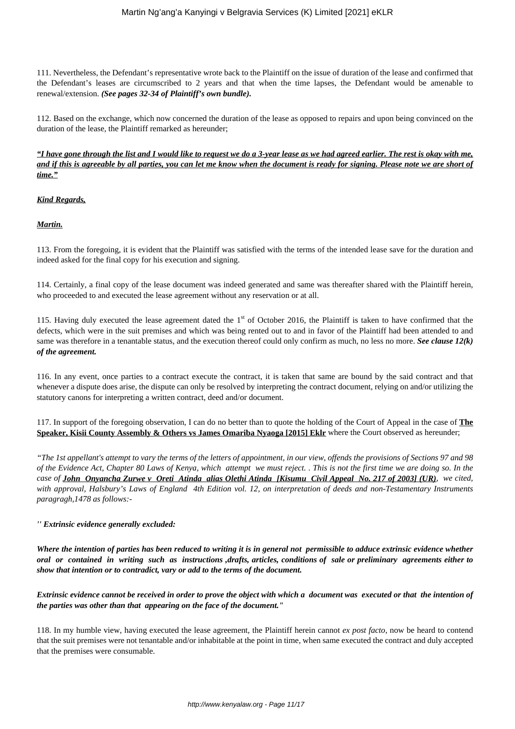111. Nevertheless, the Defendant's representative wrote back to the Plaintiff on the issue of duration of the lease and confirmed that the Defendant's leases are circumscribed to 2 years and that when the time lapses, the Defendant would be amenable to renewal/extension. *(See pages 32-34 of Plaintiff's own bundle).*

112. Based on the exchange, which now concerned the duration of the lease as opposed to repairs and upon being convinced on the duration of the lease, the Plaintiff remarked as hereunder;

*"I have gone through the list and I would like to request we do a 3-year lease as we had agreed earlier. The rest is okay with me, and if this is agreeable by all parties, you can let me know when the document is ready for signing. Please note we are short of time."*

## *Kind Regards,*

*Martin.*

113. From the foregoing, it is evident that the Plaintiff was satisfied with the terms of the intended lease save for the duration and indeed asked for the final copy for his execution and signing.

114. Certainly, a final copy of the lease document was indeed generated and same was thereafter shared with the Plaintiff herein, who proceeded to and executed the lease agreement without any reservation or at all.

115. Having duly executed the lease agreement dated the  $1<sup>st</sup>$  of October 2016, the Plaintiff is taken to have confirmed that the defects, which were in the suit premises and which was being rented out to and in favor of the Plaintiff had been attended to and same was therefore in a tenantable status, and the execution thereof could only confirm as much, no less no more. *See clause 12(k) of the agreement.*

116. In any event, once parties to a contract execute the contract, it is taken that same are bound by the said contract and that whenever a dispute does arise, the dispute can only be resolved by interpreting the contract document, relying on and/or utilizing the statutory canons for interpreting a written contract, deed and/or document.

117. In support of the foregoing observation, I can do no better than to quote the holding of the Court of Appeal in the case of **The Speaker, Kisii County Assembly & Others vs James Omariba Nyaoga [2015] Eklr** where the Court observed as hereunder;

*"The 1st appellant's attempt to vary the terms of the letters of appointment, in our view, offends the provisions of Sections 97 and 98 of the Evidence Act, Chapter 80 Laws of Kenya, which attempt we must reject. . This is not the first time we are doing so. In the case of John Onyancha Zurwe v Oreti Atinda alias Olethi Atinda [Kisumu Civil Appeal No. 217 of 2003] (UR), we cited, with approval, Halsbury's Laws of England 4th Edition vol. 12, on interpretation of deeds and non-Testamentary Instruments paragragh,1478 as follows:-*

## *'' Extrinsic evidence generally excluded:*

*Where the intention of parties has been reduced to writing it is in general not permissible to adduce extrinsic evidence whether oral or contained in writing such as instructions ,drafts, articles, conditions of sale or preliminary agreements either to show that intention or to contradict, vary or add to the terms of the document.*

*Extrinsic evidence cannot be received in order to prove the object with which a document was executed or that the intention of the parties was other than that appearing on the face of the document."*

118. In my humble view, having executed the lease agreement, the Plaintiff herein cannot *ex post facto*, now be heard to contend that the suit premises were not tenantable and/or inhabitable at the point in time, when same executed the contract and duly accepted that the premises were consumable.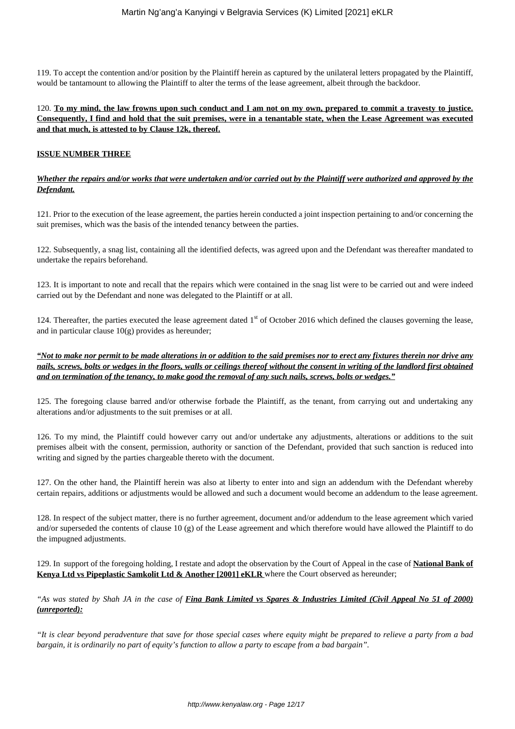119. To accept the contention and/or position by the Plaintiff herein as captured by the unilateral letters propagated by the Plaintiff, would be tantamount to allowing the Plaintiff to alter the terms of the lease agreement, albeit through the backdoor.

120. **To my mind, the law frowns upon such conduct and I am not on my own, prepared to commit a travesty to justice. Consequently, I find and hold that the suit premises, were in a tenantable state, when the Lease Agreement was executed and that much, is attested to by Clause 12k, thereof.**

#### **ISSUE NUMBER THREE**

#### *Whether the repairs and/or works that were undertaken and/or carried out by the Plaintiff were authorized and approved by the Defendant.*

121. Prior to the execution of the lease agreement, the parties herein conducted a joint inspection pertaining to and/or concerning the suit premises, which was the basis of the intended tenancy between the parties.

122. Subsequently, a snag list, containing all the identified defects, was agreed upon and the Defendant was thereafter mandated to undertake the repairs beforehand.

123. It is important to note and recall that the repairs which were contained in the snag list were to be carried out and were indeed carried out by the Defendant and none was delegated to the Plaintiff or at all.

124. Thereafter, the parties executed the lease agreement dated  $1<sup>st</sup>$  of October 2016 which defined the clauses governing the lease, and in particular clause  $10<sub>(g)</sub>$  provides as hereunder;

*"Not to make nor permit to be made alterations in or addition to the said premises nor to erect any fixtures therein nor drive any nails, screws, bolts or wedges in the floors, walls or ceilings thereof without the consent in writing of the landlord first obtained and on termination of the tenancy, to make good the removal of any such nails, screws, bolts or wedges."*

125. The foregoing clause barred and/or otherwise forbade the Plaintiff, as the tenant, from carrying out and undertaking any alterations and/or adjustments to the suit premises or at all.

126. To my mind, the Plaintiff could however carry out and/or undertake any adjustments, alterations or additions to the suit premises albeit with the consent, permission, authority or sanction of the Defendant, provided that such sanction is reduced into writing and signed by the parties chargeable thereto with the document.

127. On the other hand, the Plaintiff herein was also at liberty to enter into and sign an addendum with the Defendant whereby certain repairs, additions or adjustments would be allowed and such a document would become an addendum to the lease agreement.

128. In respect of the subject matter, there is no further agreement, document and/or addendum to the lease agreement which varied and/or superseded the contents of clause 10 (g) of the Lease agreement and which therefore would have allowed the Plaintiff to do the impugned adjustments.

129. In support of the foregoing holding, I restate and adopt the observation by the Court of Appeal in the case of **National Bank of Kenya Ltd vs Pipeplastic Samkolit Ltd & Another [2001] eKLR** where the Court observed as hereunder;

*"As was stated by Shah JA in the case of Fina Bank Limited vs Spares & Industries Limited (Civil Appeal No 51 of 2000) (unreported):*

*"It is clear beyond peradventure that save for those special cases where equity might be prepared to relieve a party from a bad bargain, it is ordinarily no part of equity's function to allow a party to escape from a bad bargain".*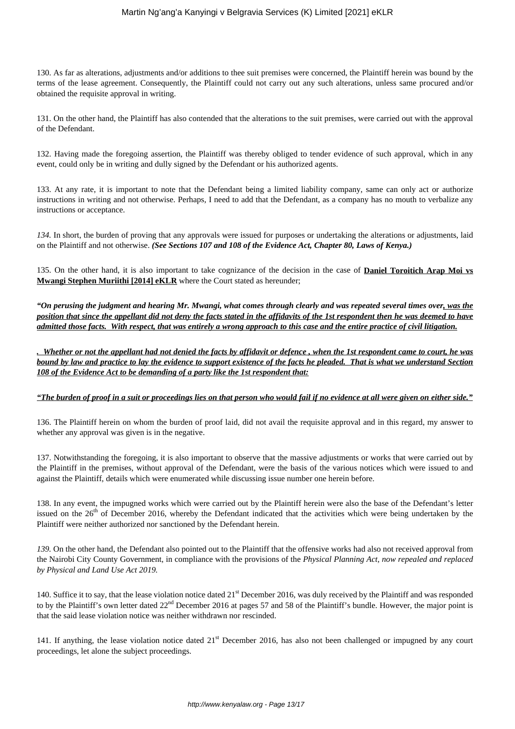130. As far as alterations, adjustments and/or additions to thee suit premises were concerned, the Plaintiff herein was bound by the terms of the lease agreement. Consequently, the Plaintiff could not carry out any such alterations, unless same procured and/or obtained the requisite approval in writing.

131. On the other hand, the Plaintiff has also contended that the alterations to the suit premises, were carried out with the approval of the Defendant.

132. Having made the foregoing assertion, the Plaintiff was thereby obliged to tender evidence of such approval, which in any event, could only be in writing and dully signed by the Defendant or his authorized agents.

133. At any rate, it is important to note that the Defendant being a limited liability company, same can only act or authorize instructions in writing and not otherwise. Perhaps, I need to add that the Defendant, as a company has no mouth to verbalize any instructions or acceptance.

*134.* In short, the burden of proving that any approvals were issued for purposes or undertaking the alterations or adjustments, laid on the Plaintiff and not otherwise. *(See Sections 107 and 108 of the Evidence Act, Chapter 80, Laws of Kenya.)*

135. On the other hand, it is also important to take cognizance of the decision in the case of **Daniel Toroitich Arap Moi vs Mwangi Stephen Muriithi [2014] eKLR** where the Court stated as hereunder;

*"On perusing the judgment and hearing Mr. Mwangi, what comes through clearly and was repeated several times over, was the position that since the appellant did not deny the facts stated in the affidavits of the 1st respondent then he was deemed to have admitted those facts. With respect, that was entirely a wrong approach to this case and the entire practice of civil litigation.*

*. Whether or not the appellant had not denied the facts by affidavit or defence , when the 1st respondent came to court, he was bound by law and practice to lay the evidence to support existence of the facts he pleaded. That is what we understand Section 108 of the Evidence Act to be demanding of a party like the 1st respondent that:*

## *"The burden of proof in a suit or proceedings lies on that person who would fail if no evidence at all were given on either side."*

136. The Plaintiff herein on whom the burden of proof laid, did not avail the requisite approval and in this regard, my answer to whether any approval was given is in the negative.

137. Notwithstanding the foregoing, it is also important to observe that the massive adjustments or works that were carried out by the Plaintiff in the premises, without approval of the Defendant, were the basis of the various notices which were issued to and against the Plaintiff, details which were enumerated while discussing issue number one herein before.

138. In any event, the impugned works which were carried out by the Plaintiff herein were also the base of the Defendant's letter issued on the  $26<sup>th</sup>$  of December 2016, whereby the Defendant indicated that the activities which were being undertaken by the Plaintiff were neither authorized nor sanctioned by the Defendant herein.

*139.* On the other hand, the Defendant also pointed out to the Plaintiff that the offensive works had also not received approval from the Nairobi City County Government, in compliance with the provisions of the *Physical Planning Act, now repealed and replaced by Physical and Land Use Act 2019.*

140. Suffice it to say, that the lease violation notice dated 21<sup>st</sup> December 2016, was duly received by the Plaintiff and was responded to by the Plaintiff's own letter dated  $22<sup>nd</sup>$  December 2016 at pages 57 and 58 of the Plaintiff's bundle. However, the major point is that the said lease violation notice was neither withdrawn nor rescinded.

141. If anything, the lease violation notice dated 21<sup>st</sup> December 2016, has also not been challenged or impugned by any court proceedings, let alone the subject proceedings.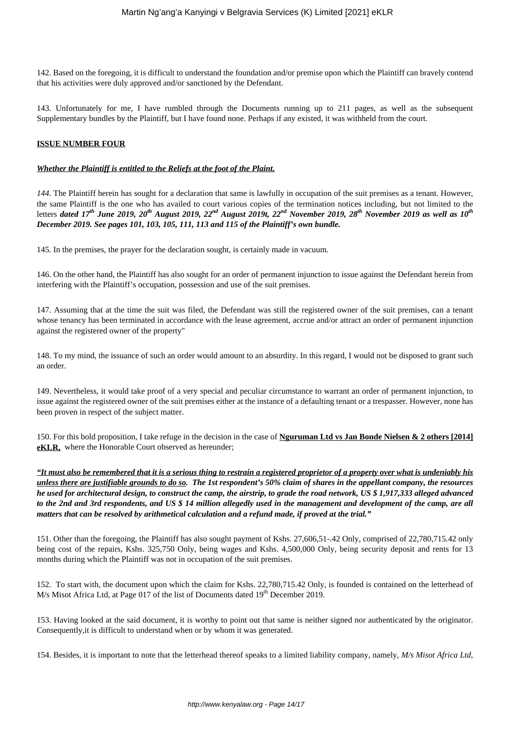142. Based on the foregoing, it is difficult to understand the foundation and/or premise upon which the Plaintiff can bravely contend that his activities were duly approved and/or sanctioned by the Defendant.

143. Unfortunately for me, I have rumbled through the Documents running up to 211 pages, as well as the subsequent Supplementary bundles by the Plaintiff, but I have found none. Perhaps if any existed, it was withheld from the court.

## **ISSUE NUMBER FOUR**

#### *Whether the Plaintiff is entitled to the Reliefs at the foot of the Plaint.*

*144.* The Plaintiff herein has sought for a declaration that same is lawfully in occupation of the suit premises as a tenant. However, the same Plaintiff is the one who has availed to court various copies of the termination notices including, but not limited to the letters *dated 17th June 2019, 20th August 2019, 22nd August 2019t, 22nd November 2019, 28th November 2019 as well as 10th December 2019. See pages 101, 103, 105, 111, 113 and 115 of the Plaintiff's own bundle.*

145. In the premises, the prayer for the declaration sought, is certainly made in vacuum.

146. On the other hand, the Plaintiff has also sought for an order of permanent injunction to issue against the Defendant herein from interfering with the Plaintiff's occupation, possession and use of the suit premises.

147. Assuming that at the time the suit was filed, the Defendant was still the registered owner of the suit premises, can a tenant whose tenancy has been terminated in accordance with the lease agreement, accrue and/or attract an order of permanent injunction against the registered owner of the property"

148. To my mind, the issuance of such an order would amount to an absurdity. In this regard, I would not be disposed to grant such an order.

149. Nevertheless, it would take proof of a very special and peculiar circumstance to warrant an order of permanent injunction, to issue against the registered owner of the suit premises either at the instance of a defaulting tenant or a trespasser. However, none has been proven in respect of the subject matter.

150. For this bold proposition, I take refuge in the decision in the case of **Nguruman Ltd vs Jan Bonde Nielsen & 2 others [2014] eKLR**, where the Honorable Court observed as hereunder;

*"It must also be remembered that it is a serious thing to restrain a registered proprietor of a property over what is undeniably his unless there are justifiable grounds to do so. The 1st respondent's 50% claim of shares in the appellant company, the resources he used for architectural design, to construct the camp, the airstrip, to grade the road network, US \$ 1,917,333 alleged advanced to the 2nd and 3rd respondents, and US \$ 14 million allegedly used in the management and development of the camp, are all matters that can be resolved by arithmetical calculation and a refund made, if proved at the trial."*

151. Other than the foregoing, the Plaintiff has also sought payment of Kshs. 27,606,51-.42 Only, comprised of 22,780,715.42 only being cost of the repairs, Kshs. 325,750 Only, being wages and Kshs. 4,500,000 Only, being security deposit and rents for 13 months during which the Plaintiff was not in occupation of the suit premises.

152. To start with, the document upon which the claim for Kshs. 22,780,715.42 Only, is founded is contained on the letterhead of M/s Misot Africa Ltd, at Page 017 of the list of Documents dated  $19<sup>th</sup>$  December 2019.

153. Having looked at the said document, it is worthy to point out that same is neither signed nor authenticated by the originator. Consequently,it is difficult to understand when or by whom it was generated.

154. Besides, it is important to note that the letterhead thereof speaks to a limited liability company, namely, *M/s Misot Africa Ltd*,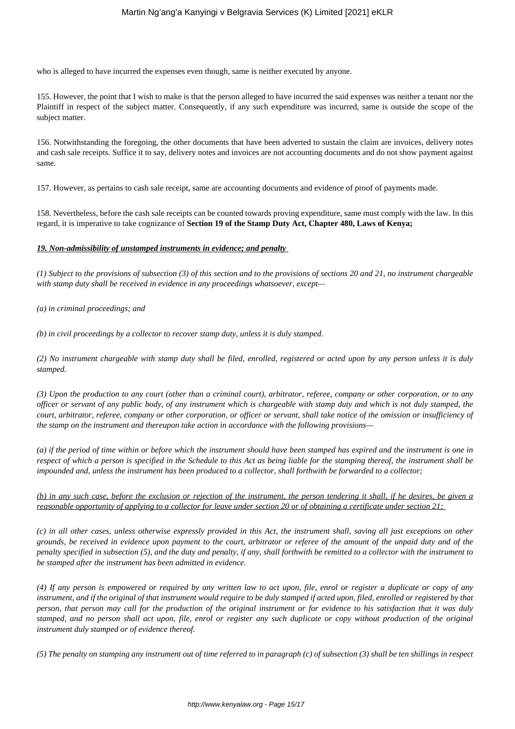who is alleged to have incurred the expenses even though, same is neither executed by anyone.

155. However, the point that I wish to make is that the person alleged to have incurred the said expenses was neither a tenant nor the Plaintiff in respect of the subject matter. Consequently, if any such expenditure was incurred, same is outside the scope of the subject matter.

156. Notwithstanding the foregoing, the other documents that have been adverted to sustain the claim are invoices, delivery notes and cash sale receipts. Suffice it to say, delivery notes and invoices are not accounting documents and do not show payment against same.

157. However, as pertains to cash sale receipt, same are accounting documents and evidence of proof of payments made.

158. Nevertheless, before the cash sale receipts can be counted towards proving expenditure, same must comply with the law. In this regard, it is imperative to take cognizance of **Section 19 of the Stamp Duty Act, Chapter 480, Laws of Kenya;**

## *19. Non-admissibility of unstamped instruments in evidence; and penalty*

*(1) Subject to the provisions of subsection (3) of this section and to the provisions of sections 20 and 21, no instrument chargeable with stamp duty shall be received in evidence in any proceedings whatsoever, except—* 

*(a) in criminal proceedings; and* 

*(b) in civil proceedings by a collector to recover stamp duty, unless it is duly stamped.* 

*(2) No instrument chargeable with stamp duty shall be filed, enrolled, registered or acted upon by any person unless it is duly stamped.*

*(3) Upon the production to any court (other than a criminal court), arbitrator, referee, company or other corporation, or to any officer or servant of any public body, of any instrument which is chargeable with stamp duty and which is not duly stamped, the court, arbitrator, referee, company or other corporation, or officer or servant, shall take notice of the omission or insufficiency of the stamp on the instrument and thereupon take action in accordance with the following provisions—* 

*(a) if the period of time within or before which the instrument should have been stamped has expired and the instrument is one in respect of which a person is specified in the Schedule to this Act as being liable for the stamping thereof, the instrument shall be impounded and, unless the instrument has been produced to a collector, shall forthwith be forwarded to a collector;* 

```
(b) in any such case, before the exclusion or rejection of the instrument, the person tendering it shall, if he desires, be given a
reasonable opportunity of applying to a collector for leave under section 20 or of obtaining a certificate under section 21;
```
*(c) in all other cases, unless otherwise expressly provided in this Act, the instrument shall, saving all just exceptions on other grounds, be received in evidence upon payment to the court, arbitrator or referee of the amount of the unpaid duty and of the penalty specified in subsection (5), and the duty and penalty, if any, shall forthwith be remitted to a collector with the instrument to be stamped after the instrument has been admitted in evidence.*

*(4) If any person is empowered or required by any written law to act upon, file, enrol or register a duplicate or copy of any instrument, and if the original of that instrument would require to be duly stamped if acted upon, filed, enrolled or registered by that person, that person may call for the production of the original instrument or for evidence to his satisfaction that it was duly stamped, and no person shall act upon, file, enrol or register any such duplicate or copy without production of the original instrument duly stamped or of evidence thereof.*

*(5) The penalty on stamping any instrument out of time referred to in paragraph (c) of subsection (3) shall be ten shillings in respect*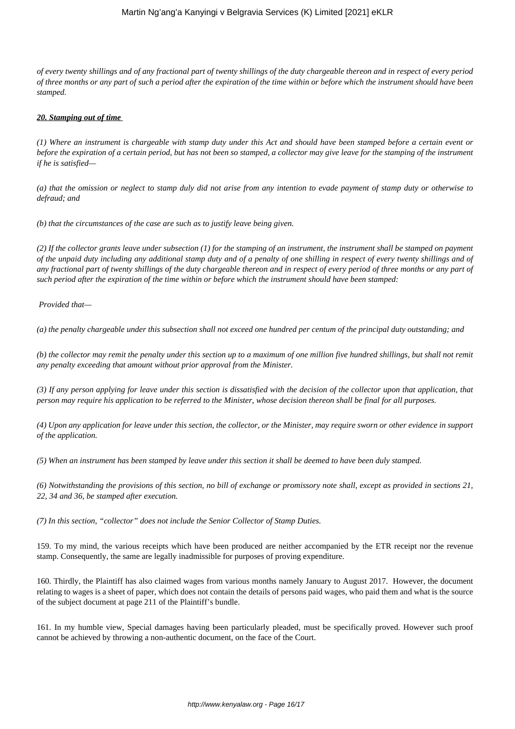## Martin Ng'ang'a Kanyingi v Belgravia Services (K) Limited [2021] eKLR

*of every twenty shillings and of any fractional part of twenty shillings of the duty chargeable thereon and in respect of every period of three months or any part of such a period after the expiration of the time within or before which the instrument should have been stamped.*

#### *20. Stamping out of time*

*(1) Where an instrument is chargeable with stamp duty under this Act and should have been stamped before a certain event or before the expiration of a certain period, but has not been so stamped, a collector may give leave for the stamping of the instrument if he is satisfied—*

*(a) that the omission or neglect to stamp duly did not arise from any intention to evade payment of stamp duty or otherwise to defraud; and*

*(b) that the circumstances of the case are such as to justify leave being given.*

*(2) If the collector grants leave under subsection (1) for the stamping of an instrument, the instrument shall be stamped on payment of the unpaid duty including any additional stamp duty and of a penalty of one shilling in respect of every twenty shillings and of any fractional part of twenty shillings of the duty chargeable thereon and in respect of every period of three months or any part of such period after the expiration of the time within or before which the instrument should have been stamped:*

*Provided that—*

*(a) the penalty chargeable under this subsection shall not exceed one hundred per centum of the principal duty outstanding; and*

*(b) the collector may remit the penalty under this section up to a maximum of one million five hundred shillings, but shall not remit any penalty exceeding that amount without prior approval from the Minister.*

*(3) If any person applying for leave under this section is dissatisfied with the decision of the collector upon that application, that person may require his application to be referred to the Minister, whose decision thereon shall be final for all purposes.*

*(4) Upon any application for leave under this section, the collector, or the Minister, may require sworn or other evidence in support of the application.*

*(5) When an instrument has been stamped by leave under this section it shall be deemed to have been duly stamped.*

*(6) Notwithstanding the provisions of this section, no bill of exchange or promissory note shall, except as provided in sections 21, 22, 34 and 36, be stamped after execution.*

*(7) In this section, "collector" does not include the Senior Collector of Stamp Duties.*

159. To my mind, the various receipts which have been produced are neither accompanied by the ETR receipt nor the revenue stamp. Consequently, the same are legally inadmissible for purposes of proving expenditure.

160. Thirdly, the Plaintiff has also claimed wages from various months namely January to August 2017. However, the document relating to wages is a sheet of paper, which does not contain the details of persons paid wages, who paid them and what is the source of the subject document at page 211 of the Plaintiff's bundle.

161. In my humble view, Special damages having been particularly pleaded, must be specifically proved. However such proof cannot be achieved by throwing a non-authentic document, on the face of the Court.